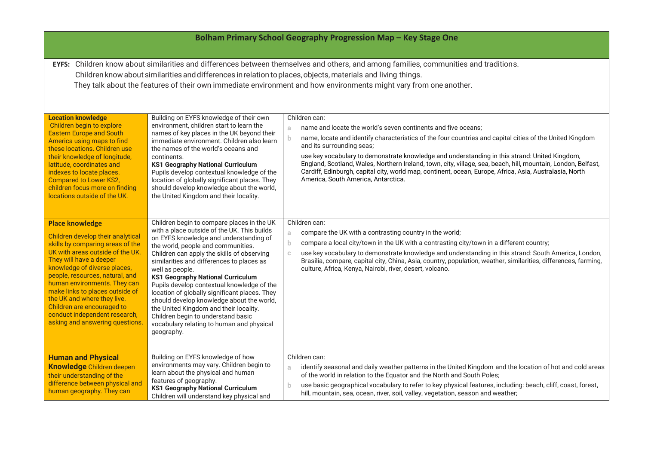| Bolham Primary School Geography Progression Map - Key Stage One                                                                                                                                                                                                                                                                                                                                                                       |                                                                                                                                                                                                                                                                                                                                                                                                                                                                                                                                                                                                                            |                                                                                                                                                                                                                                                                                                                                                                                                                                                                                                                                                                                                        |  |  |
|---------------------------------------------------------------------------------------------------------------------------------------------------------------------------------------------------------------------------------------------------------------------------------------------------------------------------------------------------------------------------------------------------------------------------------------|----------------------------------------------------------------------------------------------------------------------------------------------------------------------------------------------------------------------------------------------------------------------------------------------------------------------------------------------------------------------------------------------------------------------------------------------------------------------------------------------------------------------------------------------------------------------------------------------------------------------------|--------------------------------------------------------------------------------------------------------------------------------------------------------------------------------------------------------------------------------------------------------------------------------------------------------------------------------------------------------------------------------------------------------------------------------------------------------------------------------------------------------------------------------------------------------------------------------------------------------|--|--|
| EYFS: Children know about similarities and differences between themselves and others, and among families, communities and traditions.<br>Children know about similarities and differences in relation to places, objects, materials and living things.<br>They talk about the features of their own immediate environment and how environments might vary from one another.                                                           |                                                                                                                                                                                                                                                                                                                                                                                                                                                                                                                                                                                                                            |                                                                                                                                                                                                                                                                                                                                                                                                                                                                                                                                                                                                        |  |  |
| <b>Location knowledge</b><br>Children begin to explore<br><b>Eastern Europe and South</b><br>America using maps to find<br>these locations. Children use<br>their knowledge of longitude,<br>latitude, coordinates and<br>indexes to locate places.<br><b>Compared to Lower KS2,</b><br>children focus more on finding<br>locations outside of the UK.                                                                                | Building on EYFS knowledge of their own<br>environment, children start to learn the<br>names of key places in the UK beyond their<br>immediate environment. Children also learn<br>the names of the world's oceans and<br>continents.<br><b>KS1 Geography National Curriculum</b><br>Pupils develop contextual knowledge of the<br>location of globally significant places. They<br>should develop knowledge about the world,<br>the United Kingdom and their locality.                                                                                                                                                    | Children can:<br>name and locate the world's seven continents and five oceans;<br>a<br>name, locate and identify characteristics of the four countries and capital cities of the United Kingdom<br>b.<br>and its surrounding seas;<br>use key vocabulary to demonstrate knowledge and understanding in this strand: United Kingdom,<br>England, Scotland, Wales, Northern Ireland, town, city, village, sea, beach, hill, mountain, London, Belfast,<br>Cardiff, Edinburgh, capital city, world map, continent, ocean, Europe, Africa, Asia, Australasia, North<br>America, South America, Antarctica. |  |  |
| <b>Place knowledge</b><br>Children develop their analytical<br>skills by comparing areas of the<br>UK with areas outside of the UK.<br>They will have a deeper<br>knowledge of diverse places,<br>people, resources, natural, and<br>human environments. They can<br>make links to places outside of<br>the UK and where they live.<br>Children are encouraged to<br>conduct independent research,<br>asking and answering questions. | Children begin to compare places in the UK<br>with a place outside of the UK. This builds<br>on EYFS knowledge and understanding of<br>the world, people and communities.<br>Children can apply the skills of observing<br>similarities and differences to places as<br>well as people.<br><b>KS1 Geography National Curriculum</b><br>Pupils develop contextual knowledge of the<br>location of globally significant places. They<br>should develop knowledge about the world,<br>the United Kingdom and their locality.<br>Children begin to understand basic<br>vocabulary relating to human and physical<br>geography. | Children can:<br>compare the UK with a contrasting country in the world;<br>a<br>compare a local city/town in the UK with a contrasting city/town in a different country;<br>b.<br>use key vocabulary to demonstrate knowledge and understanding in this strand: South America, London,<br>C.<br>Brasilia, compare, capital city, China, Asia, country, population, weather, similarities, differences, farming,<br>culture, Africa, Kenya, Nairobi, river, desert, volcano.                                                                                                                           |  |  |
| <b>Human and Physical</b><br>Knowledge Children deepen<br>their understanding of the<br>difference between physical and<br>human geography. They can                                                                                                                                                                                                                                                                                  | Building on EYFS knowledge of how<br>environments may vary. Children begin to<br>learn about the physical and human<br>features of geography.<br><b>KS1 Geography National Curriculum</b><br>Children will understand key physical and                                                                                                                                                                                                                                                                                                                                                                                     | Children can:<br>identify seasonal and daily weather patterns in the United Kingdom and the location of hot and cold areas<br>a<br>of the world in relation to the Equator and the North and South Poles;<br>use basic geographical vocabulary to refer to key physical features, including: beach, cliff, coast, forest,<br>b.<br>hill, mountain, sea, ocean, river, soil, valley, vegetation, season and weather;                                                                                                                                                                                    |  |  |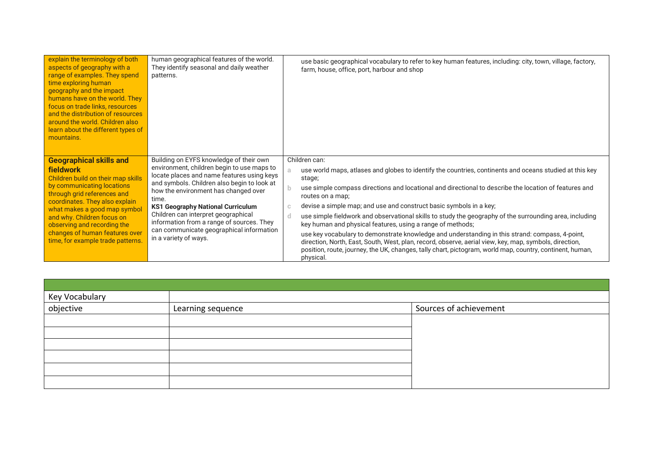| explain the terminology of both<br>aspects of geography with a<br>range of examples. They spend<br>time exploring human<br>geography and the impact<br>humans have on the world. They<br>focus on trade links, resources<br>and the distribution of resources<br>around the world. Children also<br>learn about the different types of<br>mountains.        | human geographical features of the world.<br>They identify seasonal and daily weather<br>patterns.                                                                                                                                                                                                                                                                                                                                       | use basic geographical vocabulary to refer to key human features, including: city, town, village, factory,<br>farm, house, office, port, harbour and shop                                                                                                                                                                                                                                                                                                                                                                                                                                                                                                                                                                                                                                                                                                                  |
|-------------------------------------------------------------------------------------------------------------------------------------------------------------------------------------------------------------------------------------------------------------------------------------------------------------------------------------------------------------|------------------------------------------------------------------------------------------------------------------------------------------------------------------------------------------------------------------------------------------------------------------------------------------------------------------------------------------------------------------------------------------------------------------------------------------|----------------------------------------------------------------------------------------------------------------------------------------------------------------------------------------------------------------------------------------------------------------------------------------------------------------------------------------------------------------------------------------------------------------------------------------------------------------------------------------------------------------------------------------------------------------------------------------------------------------------------------------------------------------------------------------------------------------------------------------------------------------------------------------------------------------------------------------------------------------------------|
| <b>Geographical skills and</b><br><b>fieldwork</b><br>Children build on their map skills<br>by communicating locations<br>through grid references and<br>coordinates. They also explain<br>what makes a good map symbol<br>and why. Children focus on<br>observing and recording the<br>changes of human features over<br>time, for example trade patterns. | Building on EYFS knowledge of their own<br>environment, children begin to use maps to<br>locate places and name features using keys<br>and symbols. Children also begin to look at<br>how the environment has changed over<br>time.<br><b>KS1 Geography National Curriculum</b><br>Children can interpret geographical<br>information from a range of sources. They<br>can communicate geographical information<br>in a variety of ways. | Children can:<br>use world maps, atlases and globes to identify the countries, continents and oceans studied at this key<br>a.<br>stage;<br>use simple compass directions and locational and directional to describe the location of features and<br>b<br>routes on a map;<br>devise a simple map; and use and construct basic symbols in a key;<br>C<br>use simple fieldwork and observational skills to study the geography of the surrounding area, including<br>d.<br>key human and physical features, using a range of methods;<br>use key vocabulary to demonstrate knowledge and understanding in this strand: compass, 4-point,<br>direction, North, East, South, West, plan, record, observe, aerial view, key, map, symbols, direction,<br>position, route, journey, the UK, changes, tally chart, pictogram, world map, country, continent, human,<br>physical. |

| Key Vocabulary<br>objective | Learning sequence | Sources of achievement |
|-----------------------------|-------------------|------------------------|
|                             |                   |                        |
|                             |                   |                        |
|                             |                   |                        |
|                             |                   |                        |
|                             |                   |                        |
|                             |                   |                        |